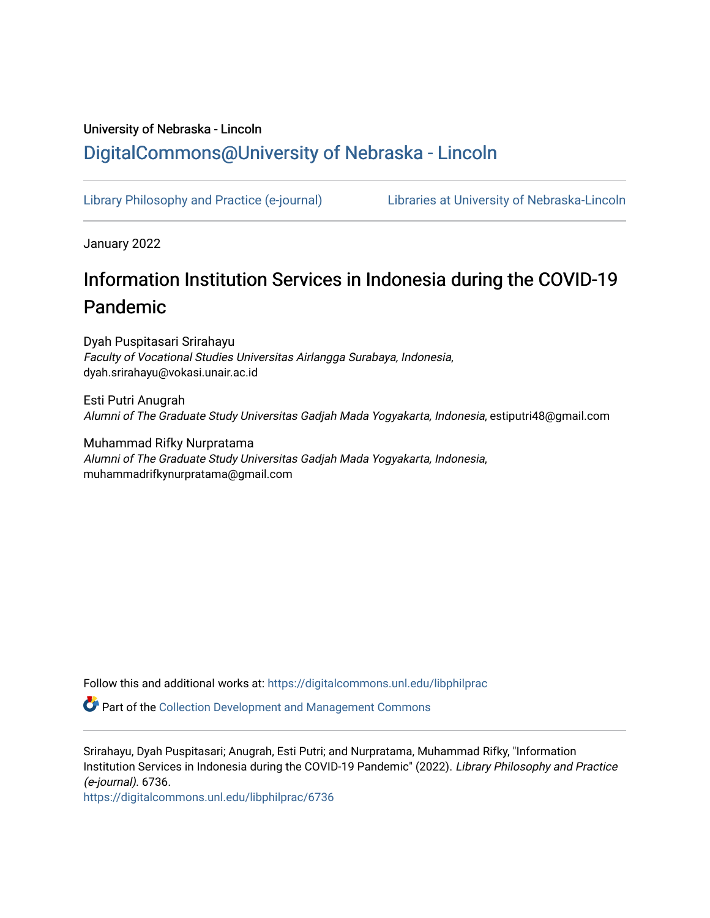## University of Nebraska - Lincoln [DigitalCommons@University of Nebraska - Lincoln](https://digitalcommons.unl.edu/)

[Library Philosophy and Practice \(e-journal\)](https://digitalcommons.unl.edu/libphilprac) [Libraries at University of Nebraska-Lincoln](https://digitalcommons.unl.edu/libraries) 

January 2022

# Information Institution Services in Indonesia during the COVID-19 Pandemic

Dyah Puspitasari Srirahayu Faculty of Vocational Studies Universitas Airlangga Surabaya, Indonesia, dyah.srirahayu@vokasi.unair.ac.id

Esti Putri Anugrah Alumni of The Graduate Study Universitas Gadjah Mada Yogyakarta, Indonesia, estiputri48@gmail.com

Muhammad Rifky Nurpratama Alumni of The Graduate Study Universitas Gadjah Mada Yogyakarta, Indonesia, muhammadrifkynurpratama@gmail.com

Follow this and additional works at: [https://digitalcommons.unl.edu/libphilprac](https://digitalcommons.unl.edu/libphilprac?utm_source=digitalcommons.unl.edu%2Flibphilprac%2F6736&utm_medium=PDF&utm_campaign=PDFCoverPages) 

Part of the [Collection Development and Management Commons](http://network.bepress.com/hgg/discipline/1271?utm_source=digitalcommons.unl.edu%2Flibphilprac%2F6736&utm_medium=PDF&utm_campaign=PDFCoverPages) 

Srirahayu, Dyah Puspitasari; Anugrah, Esti Putri; and Nurpratama, Muhammad Rifky, "Information Institution Services in Indonesia during the COVID-19 Pandemic" (2022). Library Philosophy and Practice (e-journal). 6736.

[https://digitalcommons.unl.edu/libphilprac/6736](https://digitalcommons.unl.edu/libphilprac/6736?utm_source=digitalcommons.unl.edu%2Flibphilprac%2F6736&utm_medium=PDF&utm_campaign=PDFCoverPages)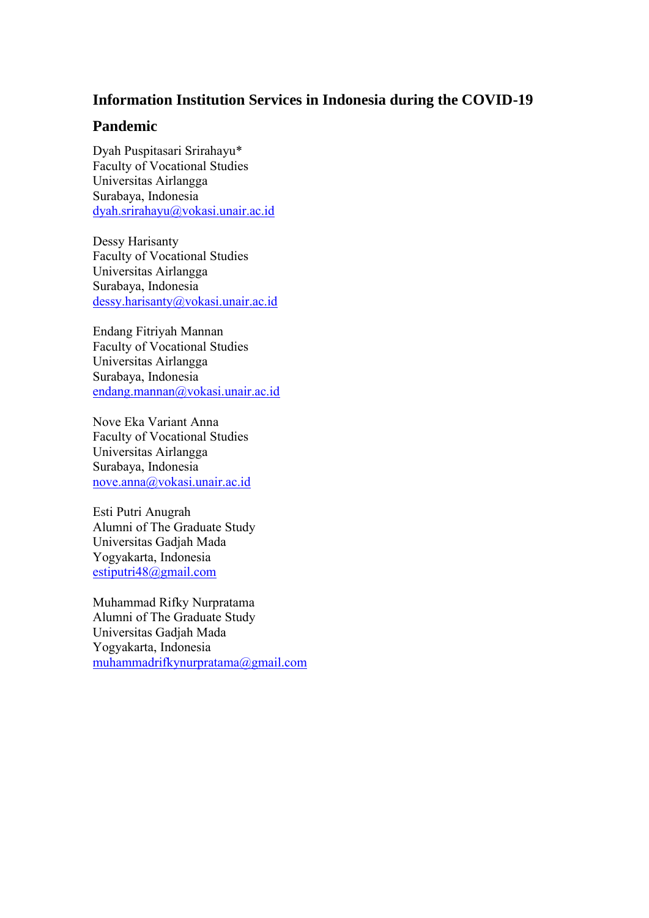## **Information Institution Services in Indonesia during the COVID-19**

## **Pandemic**

Dyah Puspitasari Srirahayu\* Faculty of Vocational Studies Universitas Airlangga Surabaya, Indonesia [dyah.srirahayu@vokasi.unair.ac.id](mailto:dyah.srirahayu@vokasi.unair.ac.id)

Dessy Harisanty Faculty of Vocational Studies Universitas Airlangga Surabaya, Indonesia [dessy.harisanty@vokasi.unair.ac.id](mailto:dessy.harisanty@vokasi.unair.ac.id)

Endang Fitriyah Mannan Faculty of Vocational Studies Universitas Airlangga Surabaya, Indonesia [endang.mannan@vokasi.unair.ac.id](mailto:endang.mannan@vokasi.unair.ac.id)

Nove Eka Variant Anna Faculty of Vocational Studies Universitas Airlangga Surabaya, Indonesia [nove.anna@vokasi.unair.ac.id](mailto:nove.anna@vokasi.unair.ac.id)

Esti Putri Anugrah Alumni of The Graduate Study Universitas Gadjah Mada Yogyakarta, Indonesia [estiputri48@gmail.com](mailto:estiputri48@gmail.com)

Muhammad Rifky Nurpratama Alumni of The Graduate Study Universitas Gadjah Mada Yogyakarta, Indonesia [muhammadrifkynurpratama@gmail.com](mailto:muhammadrifkynurpratama@gmail.com)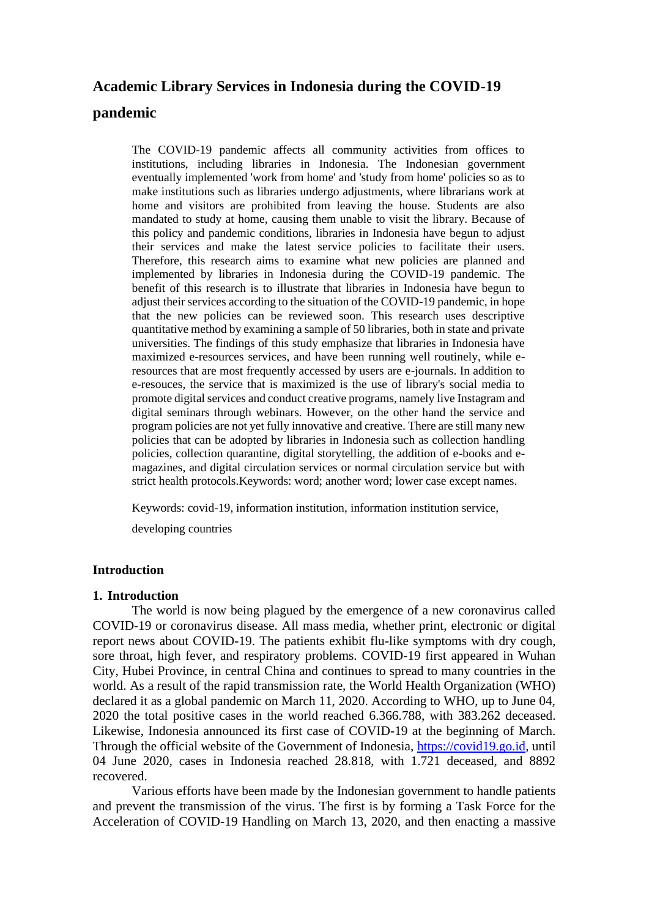# **Academic Library Services in Indonesia during the COVID-19 pandemic**

The COVID-19 pandemic affects all community activities from offices to institutions, including libraries in Indonesia. The Indonesian government eventually implemented 'work from home' and 'study from home' policies so as to make institutions such as libraries undergo adjustments, where librarians work at home and visitors are prohibited from leaving the house. Students are also mandated to study at home, causing them unable to visit the library. Because of this policy and pandemic conditions, libraries in Indonesia have begun to adjust their services and make the latest service policies to facilitate their users. Therefore, this research aims to examine what new policies are planned and implemented by libraries in Indonesia during the COVID-19 pandemic. The benefit of this research is to illustrate that libraries in Indonesia have begun to adjust their services according to the situation of the COVID-19 pandemic, in hope that the new policies can be reviewed soon. This research uses descriptive quantitative method by examining a sample of 50 libraries, both in state and private universities. The findings of this study emphasize that libraries in Indonesia have maximized e-resources services, and have been running well routinely, while eresources that are most frequently accessed by users are e-journals. In addition to e-resouces, the service that is maximized is the use of library's social media to promote digital services and conduct creative programs, namely live Instagram and digital seminars through webinars. However, on the other hand the service and program policies are not yet fully innovative and creative. There are still many new policies that can be adopted by libraries in Indonesia such as collection handling policies, collection quarantine, digital storytelling, the addition of e-books and emagazines, and digital circulation services or normal circulation service but with strict health protocols.Keywords: word; another word; lower case except names.

Keywords: covid-19, information institution, information institution service,

developing countries

#### **Introduction**

#### **1. Introduction**

The world is now being plagued by the emergence of a new coronavirus called COVID-19 or coronavirus disease. All mass media, whether print, electronic or digital report news about COVID-19. The patients exhibit flu-like symptoms with dry cough, sore throat, high fever, and respiratory problems. COVID-19 first appeared in Wuhan City, Hubei Province, in central China and continues to spread to many countries in the world. As a result of the rapid transmission rate, the World Health Organization (WHO) declared it as a global pandemic on March 11, 2020. According to WHO, up to June 04, 2020 the total positive cases in the world reached 6.366.788, with 383.262 deceased. Likewise, Indonesia announced its first case of COVID-19 at the beginning of March. Through the official website of the Government of Indonesia, [https://covid19.go.id,](https://covid19.go.id/) until 04 June 2020, cases in Indonesia reached 28.818, with 1.721 deceased, and 8892 recovered.

Various efforts have been made by the Indonesian government to handle patients and prevent the transmission of the virus. The first is by forming a Task Force for the Acceleration of COVID-19 Handling on March 13, 2020, and then enacting a massive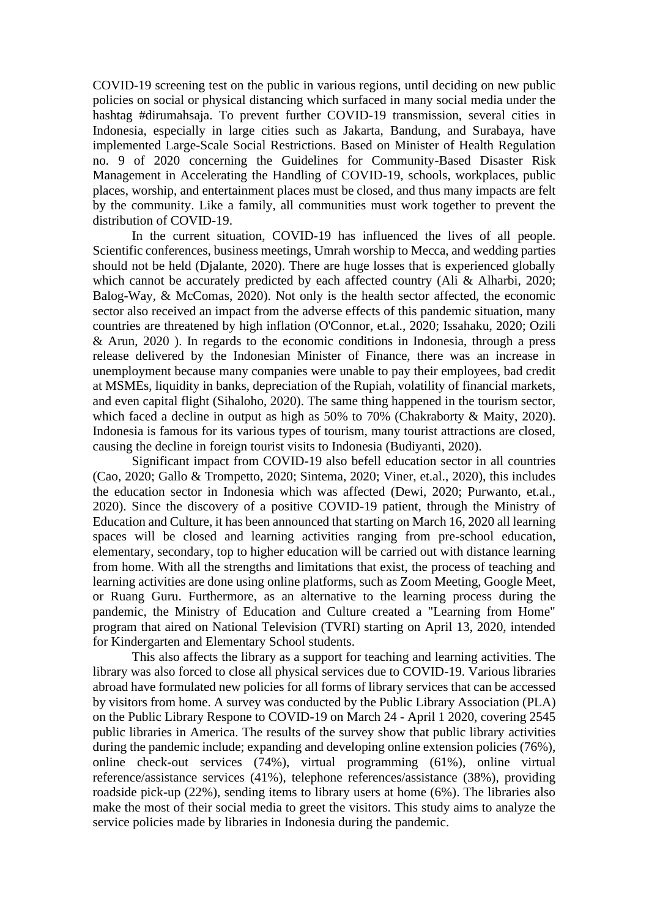COVID-19 screening test on the public in various regions, until deciding on new public policies on social or physical distancing which surfaced in many social media under the hashtag #dirumahsaja. To prevent further COVID-19 transmission, several cities in Indonesia, especially in large cities such as Jakarta, Bandung, and Surabaya, have implemented Large-Scale Social Restrictions. Based on Minister of Health Regulation no. 9 of 2020 concerning the Guidelines for Community-Based Disaster Risk Management in Accelerating the Handling of COVID-19, schools, workplaces, public places, worship, and entertainment places must be closed, and thus many impacts are felt by the community. Like a family, all communities must work together to prevent the distribution of COVID-19.

In the current situation, COVID-19 has influenced the lives of all people. Scientific conferences, business meetings, Umrah worship to Mecca, and wedding parties should not be held (Djalante, 2020). There are huge losses that is experienced globally which cannot be accurately predicted by each affected country (Ali & Alharbi, 2020; Balog-Way, & McComas, 2020). Not only is the health sector affected, the economic sector also received an impact from the adverse effects of this pandemic situation, many countries are threatened by high inflation (O'Connor, et.al., 2020; Issahaku, 2020; Ozili & Arun, 2020 ). In regards to the economic conditions in Indonesia, through a press release delivered by the Indonesian Minister of Finance, there was an increase in unemployment because many companies were unable to pay their employees, bad credit at MSMEs, liquidity in banks, depreciation of the Rupiah, volatility of financial markets, and even capital flight (Sihaloho, 2020). The same thing happened in the tourism sector, which faced a decline in output as high as 50% to 70% (Chakraborty & Maity, 2020). Indonesia is famous for its various types of tourism, many tourist attractions are closed, causing the decline in foreign tourist visits to Indonesia (Budiyanti, 2020).

Significant impact from COVID-19 also befell education sector in all countries (Cao, 2020; Gallo & Trompetto, 2020; Sintema, 2020; Viner, et.al., 2020), this includes the education sector in Indonesia which was affected (Dewi, 2020; Purwanto, et.al., 2020). Since the discovery of a positive COVID-19 patient, through the Ministry of Education and Culture, it has been announced that starting on March 16, 2020 all learning spaces will be closed and learning activities ranging from pre-school education, elementary, secondary, top to higher education will be carried out with distance learning from home. With all the strengths and limitations that exist, the process of teaching and learning activities are done using online platforms, such as Zoom Meeting, Google Meet, or Ruang Guru. Furthermore, as an alternative to the learning process during the pandemic, the Ministry of Education and Culture created a "Learning from Home" program that aired on National Television (TVRI) starting on April 13, 2020, intended for Kindergarten and Elementary School students.

This also affects the library as a support for teaching and learning activities. The library was also forced to close all physical services due to COVID-19. Various libraries abroad have formulated new policies for all forms of library services that can be accessed by visitors from home. A survey was conducted by the Public Library Association (PLA) on the Public Library Respone to COVID-19 on March 24 - April 1 2020, covering 2545 public libraries in America. The results of the survey show that public library activities during the pandemic include; expanding and developing online extension policies (76%), online check-out services (74%), virtual programming (61%), online virtual reference/assistance services (41%), telephone references/assistance (38%), providing roadside pick-up (22%), sending items to library users at home (6%). The libraries also make the most of their social media to greet the visitors. This study aims to analyze the service policies made by libraries in Indonesia during the pandemic.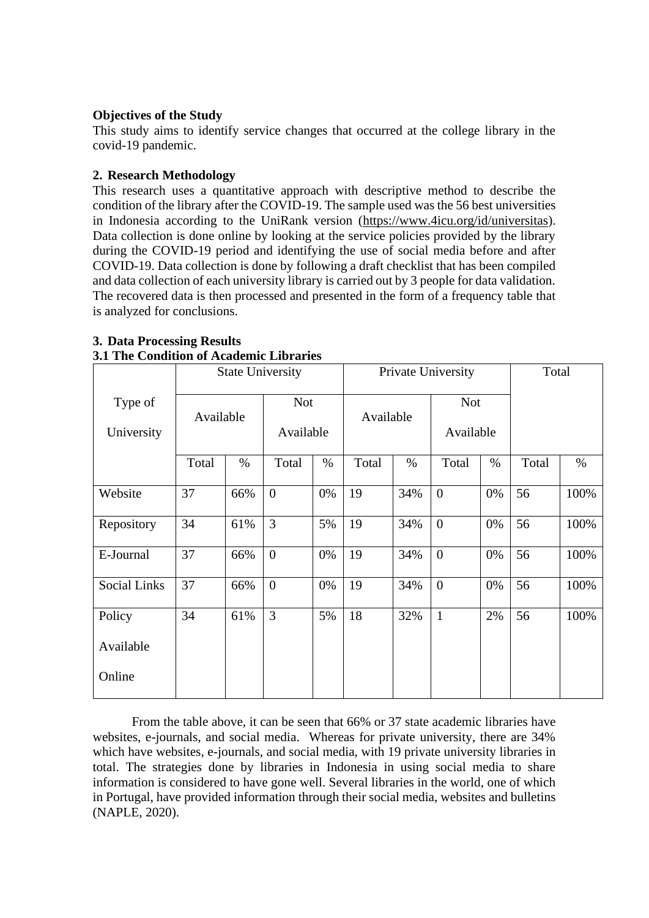### **Objectives of the Study**

This study aims to identify service changes that occurred at the college library in the covid-19 pandemic.

## **2. Research Methodology**

This research uses a quantitative approach with descriptive method to describe the condition of the library after the COVID-19. The sample used was the 56 best universities in Indonesia according to the UniRank version [\(https://www.4icu.org/id/universitas\)](https://www.4icu.org/id/universitas). Data collection is done online by looking at the service policies provided by the library during the COVID-19 period and identifying the use of social media before and after COVID-19. Data collection is done by following a draft checklist that has been compiled and data collection of each university library is carried out by 3 people for data validation. The recovered data is then processed and presented in the form of a frequency table that is analyzed for conclusions.

| 9.1 THE CONGRUDI OF ACAUCHIIE LIDI AFIES |           |      |                         |      |                    |      |                         |      |       |      |
|------------------------------------------|-----------|------|-------------------------|------|--------------------|------|-------------------------|------|-------|------|
|                                          |           |      | <b>State University</b> |      | Private University |      |                         |      | Total |      |
| Type of                                  | Available |      | <b>Not</b><br>Available |      | Available          |      | <b>Not</b><br>Available |      |       |      |
| University                               |           |      |                         |      |                    |      |                         |      |       |      |
|                                          | Total     | $\%$ | Total                   | $\%$ | Total              | $\%$ | Total                   | $\%$ | Total | $\%$ |
| Website                                  | 37        | 66%  | $\overline{0}$          | 0%   | 19                 | 34%  | $\overline{0}$          | 0%   | 56    | 100% |
| Repository                               | 34        | 61%  | 3                       | 5%   | 19                 | 34%  | $\overline{0}$          | 0%   | 56    | 100% |
| E-Journal                                | 37        | 66%  | $\overline{0}$          | 0%   | 19                 | 34%  | $\overline{0}$          | 0%   | 56    | 100% |
| <b>Social Links</b>                      | 37        | 66%  | $\overline{0}$          | 0%   | 19                 | 34%  | $\overline{0}$          | 0%   | 56    | 100% |
| Policy                                   | 34        | 61%  | $\overline{3}$          | 5%   | 18                 | 32%  | 1                       | 2%   | 56    | 100% |
| Available                                |           |      |                         |      |                    |      |                         |      |       |      |
| Online                                   |           |      |                         |      |                    |      |                         |      |       |      |

## **3. Data Processing Results 3.1 The Condition of Academic Libraries**

From the table above, it can be seen that 66% or 37 state academic libraries have websites, e-journals, and social media. Whereas for private university, there are 34% which have websites, e-journals, and social media, with 19 private university libraries in total. The strategies done by libraries in Indonesia in using social media to share information is considered to have gone well. Several libraries in the world, one of which in Portugal, have provided information through their social media, websites and bulletins (NAPLE, 2020).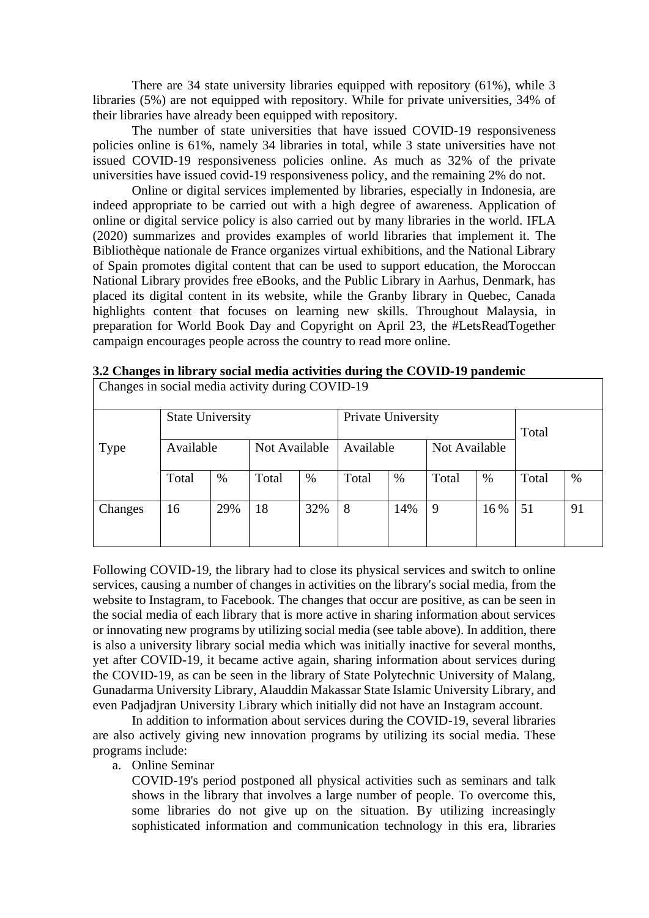There are 34 state university libraries equipped with repository (61%), while 3 libraries (5%) are not equipped with repository. While for private universities, 34% of their libraries have already been equipped with repository.

The number of state universities that have issued COVID-19 responsiveness policies online is 61%, namely 34 libraries in total, while 3 state universities have not issued COVID-19 responsiveness policies online. As much as 32% of the private universities have issued covid-19 responsiveness policy, and the remaining 2% do not.

Online or digital services implemented by libraries, especially in Indonesia, are indeed appropriate to be carried out with a high degree of awareness. Application of online or digital service policy is also carried out by many libraries in the world. IFLA (2020) summarizes and provides examples of world libraries that implement it. The Bibliothèque nationale de France organizes virtual exhibitions, and the National Library of Spain promotes digital content that can be used to support education, the Moroccan National Library provides free eBooks, and the Public Library in Aarhus, Denmark, has placed its digital content in its website, while the Granby library in Quebec, Canada highlights content that focuses on learning new skills. Throughout Malaysia, in preparation for World Book Day and Copyright on April 23, the #LetsReadTogether campaign encourages people across the country to read more online.

|             | <b>State University</b> |      |               |      | Private University |     |               |      | Total |    |
|-------------|-------------------------|------|---------------|------|--------------------|-----|---------------|------|-------|----|
| <b>Type</b> | Available               |      | Not Available |      | Available          |     | Not Available |      |       |    |
|             | Total                   | $\%$ | Total         | $\%$ | Total              | %   | Total         | $\%$ | Total | %  |
| Changes     | 16                      | 29%  | 18            | 32%  | 8                  | 14% | 9             | 16 % | 51    | 91 |

**3.2 Changes in library social media activities during the COVID-19 pandemic**  $\overline{C}$ 

Following COVID-19, the library had to close its physical services and switch to online services, causing a number of changes in activities on the library's social media, from the website to Instagram, to Facebook. The changes that occur are positive, as can be seen in the social media of each library that is more active in sharing information about services or innovating new programs by utilizing social media (see table above). In addition, there is also a university library social media which was initially inactive for several months, yet after COVID-19, it became active again, sharing information about services during the COVID-19, as can be seen in the library of State Polytechnic University of Malang, Gunadarma University Library, Alauddin Makassar State Islamic University Library, and even Padjadjran University Library which initially did not have an Instagram account.

In addition to information about services during the COVID-19, several libraries are also actively giving new innovation programs by utilizing its social media. These programs include:

a. Online Seminar

COVID-19's period postponed all physical activities such as seminars and talk shows in the library that involves a large number of people. To overcome this, some libraries do not give up on the situation. By utilizing increasingly sophisticated information and communication technology in this era, libraries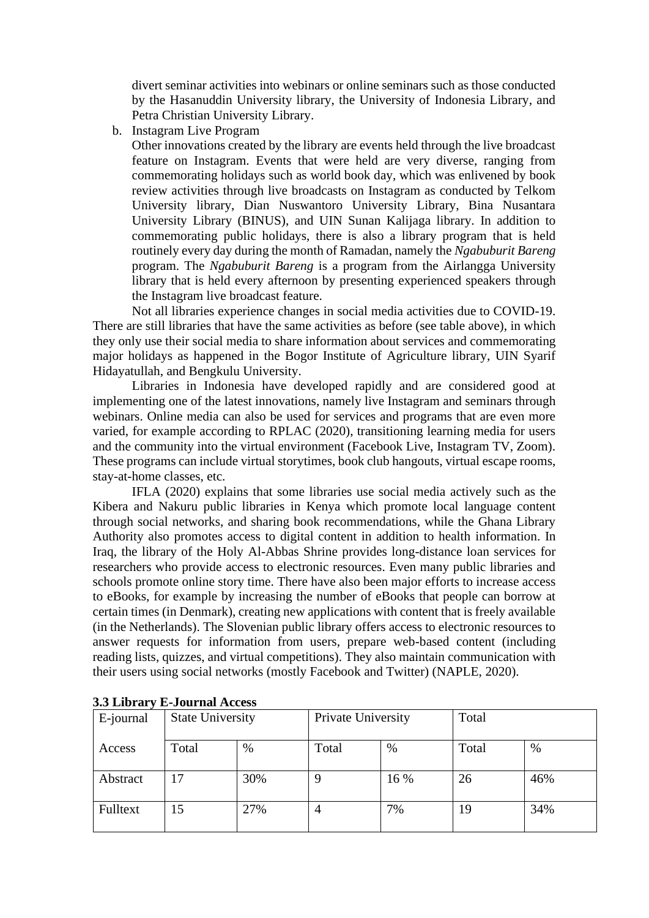divert seminar activities into webinars or online seminars such as those conducted by the Hasanuddin University library, the University of Indonesia Library, and Petra Christian University Library.

b. Instagram Live Program

Other innovations created by the library are events held through the live broadcast feature on Instagram. Events that were held are very diverse, ranging from commemorating holidays such as world book day, which was enlivened by book review activities through live broadcasts on Instagram as conducted by Telkom University library, Dian Nuswantoro University Library, Bina Nusantara University Library (BINUS), and UIN Sunan Kalijaga library. In addition to commemorating public holidays, there is also a library program that is held routinely every day during the month of Ramadan, namely the *Ngabuburit Bareng* program. The *Ngabuburit Bareng* is a program from the Airlangga University library that is held every afternoon by presenting experienced speakers through the Instagram live broadcast feature.

Not all libraries experience changes in social media activities due to COVID-19. There are still libraries that have the same activities as before (see table above), in which they only use their social media to share information about services and commemorating major holidays as happened in the Bogor Institute of Agriculture library, UIN Syarif Hidayatullah, and Bengkulu University.

Libraries in Indonesia have developed rapidly and are considered good at implementing one of the latest innovations, namely live Instagram and seminars through webinars. Online media can also be used for services and programs that are even more varied, for example according to RPLAC (2020), transitioning learning media for users and the community into the virtual environment (Facebook Live, Instagram TV, Zoom). These programs can include virtual storytimes, book club hangouts, virtual escape rooms, stay-at-home classes, etc.

IFLA (2020) explains that some libraries use social media actively such as the Kibera and Nakuru public libraries in Kenya which promote local language content through social networks, and sharing book recommendations, while the Ghana Library Authority also promotes access to digital content in addition to health information. In Iraq, the library of the Holy Al-Abbas Shrine provides long-distance loan services for researchers who provide access to electronic resources. Even many public libraries and schools promote online story time. There have also been major efforts to increase access to eBooks, for example by increasing the number of eBooks that people can borrow at certain times (in Denmark), creating new applications with content that is freely available (in the Netherlands). The Slovenian public library offers access to electronic resources to answer requests for information from users, prepare web-based content (including reading lists, quizzes, and virtual competitions). They also maintain communication with their users using social networks (mostly Facebook and Twitter) (NAPLE, 2020).

| E-journal | <b>State University</b> |     | Private University |      | Total |     |  |
|-----------|-------------------------|-----|--------------------|------|-------|-----|--|
| Access    | Total                   | %   | Total              | $\%$ | Total | %   |  |
| Abstract  | 17                      | 30% |                    | 16 % | 26    | 46% |  |
| Fulltext  | 15                      | 27% | 4                  | 7%   | 19    | 34% |  |

**3.3 Library E-Journal Access**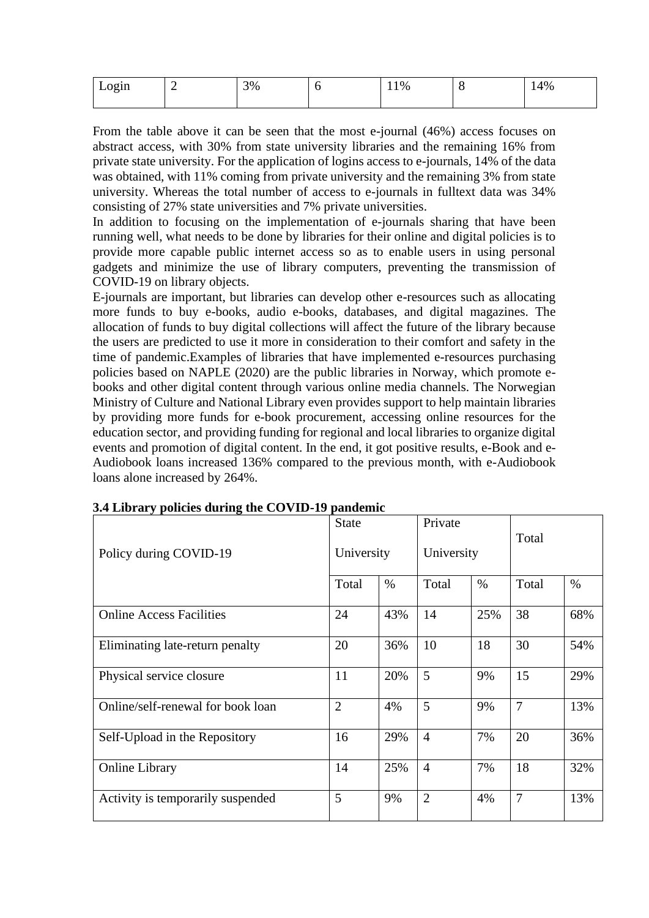| Login | ∽ | 3% | 11% | . . | 14% |
|-------|---|----|-----|-----|-----|
|       |   |    |     |     |     |

From the table above it can be seen that the most e-journal (46%) access focuses on abstract access, with 30% from state university libraries and the remaining 16% from private state university. For the application of logins access to e-journals, 14% of the data was obtained, with 11% coming from private university and the remaining 3% from state university. Whereas the total number of access to e-journals in fulltext data was 34% consisting of 27% state universities and 7% private universities.

In addition to focusing on the implementation of e-journals sharing that have been running well, what needs to be done by libraries for their online and digital policies is to provide more capable public internet access so as to enable users in using personal gadgets and minimize the use of library computers, preventing the transmission of COVID-19 on library objects.

E-journals are important, but libraries can develop other e-resources such as allocating more funds to buy e-books, audio e-books, databases, and digital magazines. The allocation of funds to buy digital collections will affect the future of the library because the users are predicted to use it more in consideration to their comfort and safety in the time of pandemic.Examples of libraries that have implemented e-resources purchasing policies based on NAPLE (2020) are the public libraries in Norway, which promote ebooks and other digital content through various online media channels. The Norwegian Ministry of Culture and National Library even provides support to help maintain libraries by providing more funds for e-book procurement, accessing online resources for the education sector, and providing funding for regional and local libraries to organize digital events and promotion of digital content. In the end, it got positive results, e-Book and e-Audiobook loans increased 136% compared to the previous month, with e-Audiobook loans alone increased by 264%.

|                                   | <b>State</b>   | Private<br>University |                | Total |                |      |
|-----------------------------------|----------------|-----------------------|----------------|-------|----------------|------|
| Policy during COVID-19            | University     |                       |                |       |                |      |
|                                   | Total          | $\%$                  | Total          | $\%$  | Total          | $\%$ |
| <b>Online Access Facilities</b>   | 24             | 43%                   | 14             | 25%   | 38             | 68%  |
| Eliminating late-return penalty   | 20             | 36%                   | 10             | 18    | 30             | 54%  |
| Physical service closure          | 11             | 20%                   | 5              | 9%    | 15             | 29%  |
| Online/self-renewal for book loan | $\overline{2}$ | 4%                    | 5              | 9%    | $\overline{7}$ | 13%  |
| Self-Upload in the Repository     | 16             | 29%                   | $\overline{4}$ | 7%    | 20             | 36%  |
| <b>Online Library</b>             | 14             | 25%                   | $\overline{4}$ | 7%    | 18             | 32%  |
| Activity is temporarily suspended | 5              | 9%                    | $\overline{2}$ | 4%    | $\overline{7}$ | 13%  |

**3.4 Library policies during the COVID-19 pandemic**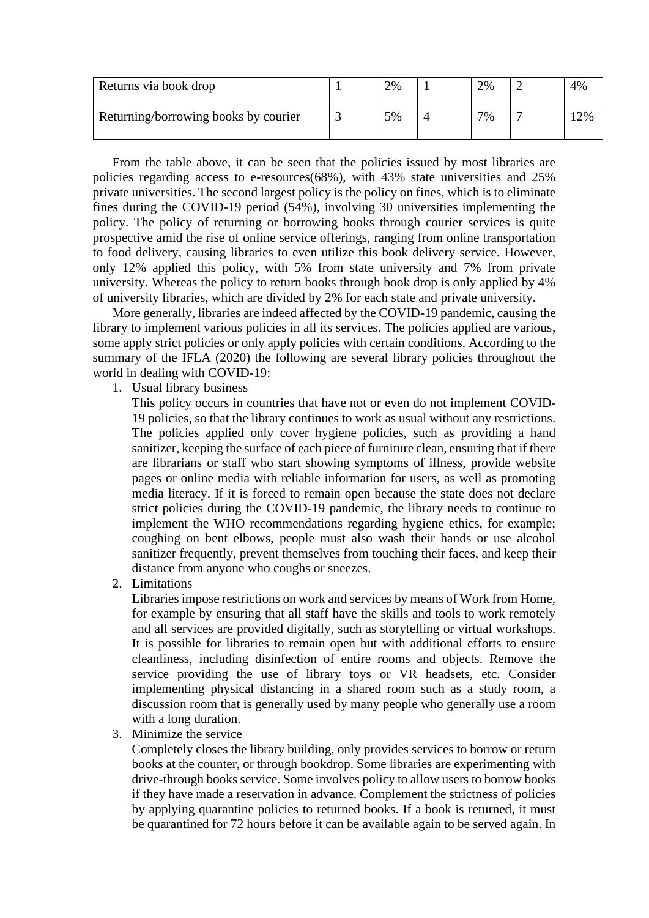| Returns via book drop                | 2% | 2% | 4% |
|--------------------------------------|----|----|----|
| Returning/borrowing books by courier | 5% | 7% | 2% |

From the table above, it can be seen that the policies issued by most libraries are policies regarding access to e-resources(68%), with 43% state universities and 25% private universities. The second largest policy is the policy on fines, which is to eliminate fines during the COVID-19 period (54%), involving 30 universities implementing the policy. The policy of returning or borrowing books through courier services is quite prospective amid the rise of online service offerings, ranging from online transportation to food delivery, causing libraries to even utilize this book delivery service. However, only 12% applied this policy, with 5% from state university and 7% from private university. Whereas the policy to return books through book drop is only applied by 4% of university libraries, which are divided by 2% for each state and private university.

More generally, libraries are indeed affected by the COVID-19 pandemic, causing the library to implement various policies in all its services. The policies applied are various, some apply strict policies or only apply policies with certain conditions. According to the summary of the IFLA (2020) the following are several library policies throughout the world in dealing with COVID-19:

1. Usual library business

This policy occurs in countries that have not or even do not implement COVID-19 policies, so that the library continues to work as usual without any restrictions. The policies applied only cover hygiene policies, such as providing a hand sanitizer, keeping the surface of each piece of furniture clean, ensuring that if there are librarians or staff who start showing symptoms of illness, provide website pages or online media with reliable information for users, as well as promoting media literacy. If it is forced to remain open because the state does not declare strict policies during the COVID-19 pandemic, the library needs to continue to implement the WHO recommendations regarding hygiene ethics, for example; coughing on bent elbows, people must also wash their hands or use alcohol sanitizer frequently, prevent themselves from touching their faces, and keep their distance from anyone who coughs or sneezes.

2. Limitations

Libraries impose restrictions on work and services by means of Work from Home, for example by ensuring that all staff have the skills and tools to work remotely and all services are provided digitally, such as storytelling or virtual workshops. It is possible for libraries to remain open but with additional efforts to ensure cleanliness, including disinfection of entire rooms and objects. Remove the service providing the use of library toys or VR headsets, etc. Consider implementing physical distancing in a shared room such as a study room, a discussion room that is generally used by many people who generally use a room with a long duration.

3. Minimize the service

Completely closes the library building, only provides services to borrow or return books at the counter, or through bookdrop. Some libraries are experimenting with drive-through books service. Some involves policy to allow users to borrow books if they have made a reservation in advance. Complement the strictness of policies by applying quarantine policies to returned books. If a book is returned, it must be quarantined for 72 hours before it can be available again to be served again. In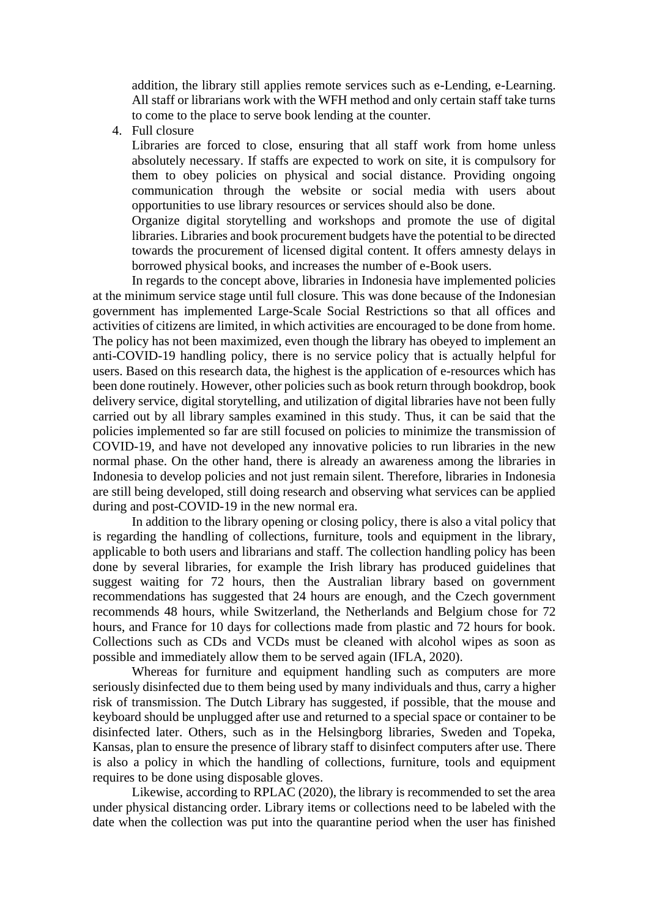addition, the library still applies remote services such as e-Lending, e-Learning. All staff or librarians work with the WFH method and only certain staff take turns to come to the place to serve book lending at the counter.

4. Full closure

Libraries are forced to close, ensuring that all staff work from home unless absolutely necessary. If staffs are expected to work on site, it is compulsory for them to obey policies on physical and social distance. Providing ongoing communication through the website or social media with users about opportunities to use library resources or services should also be done.

Organize digital storytelling and workshops and promote the use of digital libraries. Libraries and book procurement budgets have the potential to be directed towards the procurement of licensed digital content. It offers amnesty delays in borrowed physical books, and increases the number of e-Book users.

In regards to the concept above, libraries in Indonesia have implemented policies at the minimum service stage until full closure. This was done because of the Indonesian government has implemented Large-Scale Social Restrictions so that all offices and activities of citizens are limited, in which activities are encouraged to be done from home. The policy has not been maximized, even though the library has obeyed to implement an anti-COVID-19 handling policy, there is no service policy that is actually helpful for users. Based on this research data, the highest is the application of e-resources which has been done routinely. However, other policies such as book return through bookdrop, book delivery service, digital storytelling, and utilization of digital libraries have not been fully carried out by all library samples examined in this study. Thus, it can be said that the policies implemented so far are still focused on policies to minimize the transmission of COVID-19, and have not developed any innovative policies to run libraries in the new normal phase. On the other hand, there is already an awareness among the libraries in Indonesia to develop policies and not just remain silent. Therefore, libraries in Indonesia are still being developed, still doing research and observing what services can be applied during and post-COVID-19 in the new normal era.

In addition to the library opening or closing policy, there is also a vital policy that is regarding the handling of collections, furniture, tools and equipment in the library, applicable to both users and librarians and staff. The collection handling policy has been done by several libraries, for example the Irish library has produced guidelines that suggest waiting for 72 hours, then the Australian library based on government recommendations has suggested that 24 hours are enough, and the Czech government recommends 48 hours, while Switzerland, the Netherlands and Belgium chose for 72 hours, and France for 10 days for collections made from plastic and 72 hours for book. Collections such as CDs and VCDs must be cleaned with alcohol wipes as soon as possible and immediately allow them to be served again (IFLA, 2020).

Whereas for furniture and equipment handling such as computers are more seriously disinfected due to them being used by many individuals and thus, carry a higher risk of transmission. The Dutch Library has suggested, if possible, that the mouse and keyboard should be unplugged after use and returned to a special space or container to be disinfected later. Others, such as in the Helsingborg libraries, Sweden and Topeka, Kansas, plan to ensure the presence of library staff to disinfect computers after use. There is also a policy in which the handling of collections, furniture, tools and equipment requires to be done using disposable gloves.

Likewise, according to RPLAC (2020), the library is recommended to set the area under physical distancing order. Library items or collections need to be labeled with the date when the collection was put into the quarantine period when the user has finished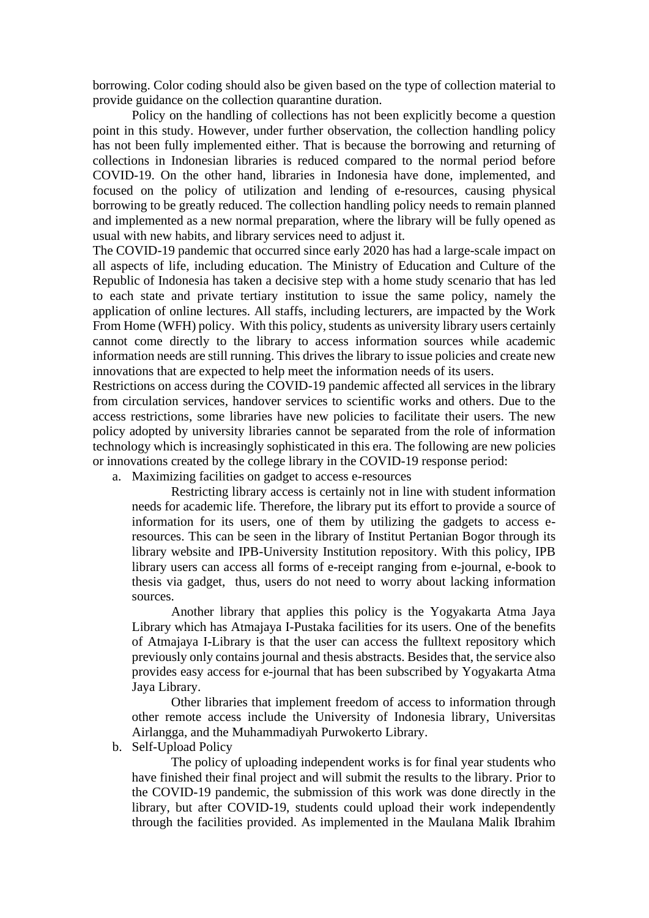borrowing. Color coding should also be given based on the type of collection material to provide guidance on the collection quarantine duration.

Policy on the handling of collections has not been explicitly become a question point in this study. However, under further observation, the collection handling policy has not been fully implemented either. That is because the borrowing and returning of collections in Indonesian libraries is reduced compared to the normal period before COVID-19. On the other hand, libraries in Indonesia have done, implemented, and focused on the policy of utilization and lending of e-resources, causing physical borrowing to be greatly reduced. The collection handling policy needs to remain planned and implemented as a new normal preparation, where the library will be fully opened as usual with new habits, and library services need to adjust it.

The COVID-19 pandemic that occurred since early 2020 has had a large-scale impact on all aspects of life, including education. The Ministry of Education and Culture of the Republic of Indonesia has taken a decisive step with a home study scenario that has led to each state and private tertiary institution to issue the same policy, namely the application of online lectures. All staffs, including lecturers, are impacted by the Work From Home (WFH) policy. With this policy, students as university library users certainly cannot come directly to the library to access information sources while academic information needs are still running. This drives the library to issue policies and create new innovations that are expected to help meet the information needs of its users.

Restrictions on access during the COVID-19 pandemic affected all services in the library from circulation services, handover services to scientific works and others. Due to the access restrictions, some libraries have new policies to facilitate their users. The new policy adopted by university libraries cannot be separated from the role of information technology which is increasingly sophisticated in this era. The following are new policies or innovations created by the college library in the COVID-19 response period:

a. Maximizing facilities on gadget to access e-resources

Restricting library access is certainly not in line with student information needs for academic life. Therefore, the library put its effort to provide a source of information for its users, one of them by utilizing the gadgets to access eresources. This can be seen in the library of Institut Pertanian Bogor through its library website and IPB-University Institution repository. With this policy, IPB library users can access all forms of e-receipt ranging from e-journal, e-book to thesis via gadget, thus, users do not need to worry about lacking information sources.

Another library that applies this policy is the Yogyakarta Atma Jaya Library which has Atmajaya I-Pustaka facilities for its users. One of the benefits of Atmajaya I-Library is that the user can access the fulltext repository which previously only contains journal and thesis abstracts. Besides that, the service also provides easy access for e-journal that has been subscribed by Yogyakarta Atma Jaya Library.

Other libraries that implement freedom of access to information through other remote access include the University of Indonesia library, Universitas Airlangga, and the Muhammadiyah Purwokerto Library.

b. Self-Upload Policy

The policy of uploading independent works is for final year students who have finished their final project and will submit the results to the library. Prior to the COVID-19 pandemic, the submission of this work was done directly in the library, but after COVID-19, students could upload their work independently through the facilities provided. As implemented in the Maulana Malik Ibrahim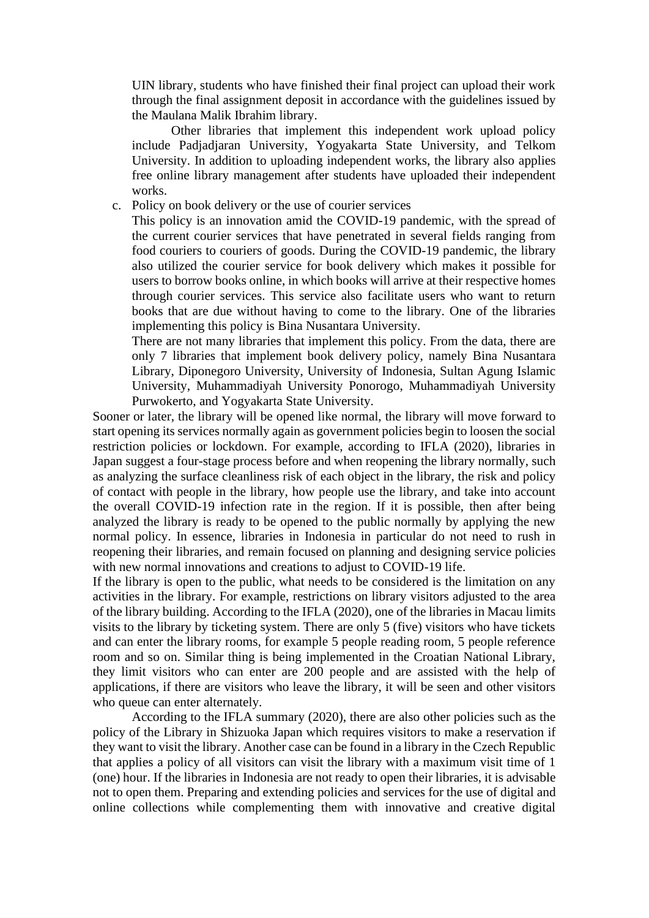UIN library, students who have finished their final project can upload their work through the final assignment deposit in accordance with the guidelines issued by the Maulana Malik Ibrahim library.

Other libraries that implement this independent work upload policy include Padjadjaran University, Yogyakarta State University, and Telkom University. In addition to uploading independent works, the library also applies free online library management after students have uploaded their independent works.

c. Policy on book delivery or the use of courier services

This policy is an innovation amid the COVID-19 pandemic, with the spread of the current courier services that have penetrated in several fields ranging from food couriers to couriers of goods. During the COVID-19 pandemic, the library also utilized the courier service for book delivery which makes it possible for users to borrow books online, in which books will arrive at their respective homes through courier services. This service also facilitate users who want to return books that are due without having to come to the library. One of the libraries implementing this policy is Bina Nusantara University.

There are not many libraries that implement this policy. From the data, there are only 7 libraries that implement book delivery policy, namely Bina Nusantara Library, Diponegoro University, University of Indonesia, Sultan Agung Islamic University, Muhammadiyah University Ponorogo, Muhammadiyah University Purwokerto, and Yogyakarta State University.

Sooner or later, the library will be opened like normal, the library will move forward to start opening its services normally again as government policies begin to loosen the social restriction policies or lockdown. For example, according to IFLA (2020), libraries in Japan suggest a four-stage process before and when reopening the library normally, such as analyzing the surface cleanliness risk of each object in the library, the risk and policy of contact with people in the library, how people use the library, and take into account the overall COVID-19 infection rate in the region. If it is possible, then after being analyzed the library is ready to be opened to the public normally by applying the new normal policy. In essence, libraries in Indonesia in particular do not need to rush in reopening their libraries, and remain focused on planning and designing service policies with new normal innovations and creations to adjust to COVID-19 life.

If the library is open to the public, what needs to be considered is the limitation on any activities in the library. For example, restrictions on library visitors adjusted to the area of the library building. According to the IFLA (2020), one of the libraries in Macau limits visits to the library by ticketing system. There are only 5 (five) visitors who have tickets and can enter the library rooms, for example 5 people reading room, 5 people reference room and so on. Similar thing is being implemented in the Croatian National Library, they limit visitors who can enter are 200 people and are assisted with the help of applications, if there are visitors who leave the library, it will be seen and other visitors who queue can enter alternately.

According to the IFLA summary (2020), there are also other policies such as the policy of the Library in Shizuoka Japan which requires visitors to make a reservation if they want to visit the library. Another case can be found in a library in the Czech Republic that applies a policy of all visitors can visit the library with a maximum visit time of 1 (one) hour. If the libraries in Indonesia are not ready to open their libraries, it is advisable not to open them. Preparing and extending policies and services for the use of digital and online collections while complementing them with innovative and creative digital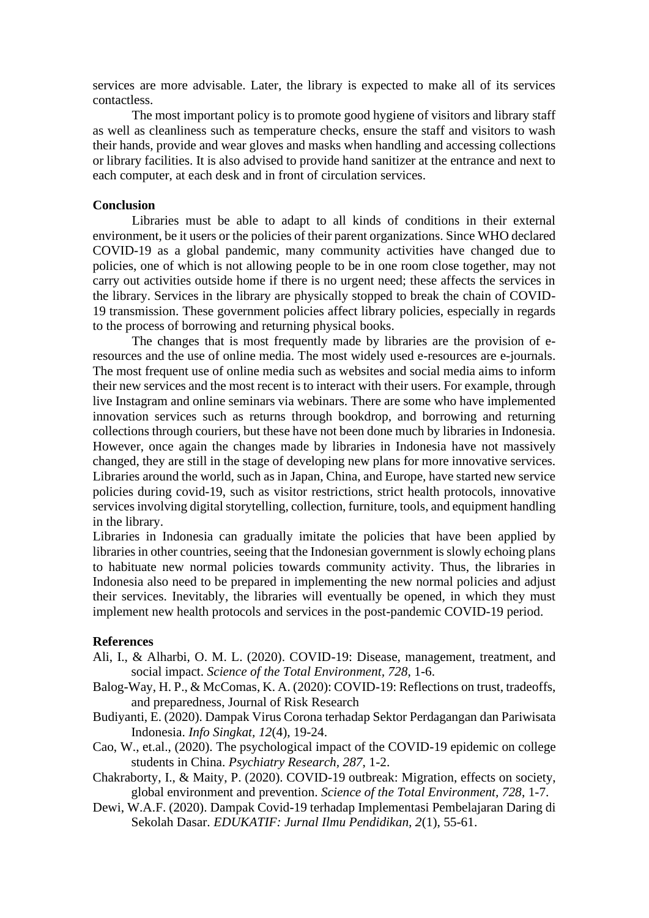services are more advisable. Later, the library is expected to make all of its services contactless.

The most important policy is to promote good hygiene of visitors and library staff as well as cleanliness such as temperature checks, ensure the staff and visitors to wash their hands, provide and wear gloves and masks when handling and accessing collections or library facilities. It is also advised to provide hand sanitizer at the entrance and next to each computer, at each desk and in front of circulation services.

#### **Conclusion**

Libraries must be able to adapt to all kinds of conditions in their external environment, be it users or the policies of their parent organizations. Since WHO declared COVID-19 as a global pandemic, many community activities have changed due to policies, one of which is not allowing people to be in one room close together, may not carry out activities outside home if there is no urgent need; these affects the services in the library. Services in the library are physically stopped to break the chain of COVID-19 transmission. These government policies affect library policies, especially in regards to the process of borrowing and returning physical books.

The changes that is most frequently made by libraries are the provision of eresources and the use of online media. The most widely used e-resources are e-journals. The most frequent use of online media such as websites and social media aims to inform their new services and the most recent is to interact with their users. For example, through live Instagram and online seminars via webinars. There are some who have implemented innovation services such as returns through bookdrop, and borrowing and returning collections through couriers, but these have not been done much by libraries in Indonesia. However, once again the changes made by libraries in Indonesia have not massively changed, they are still in the stage of developing new plans for more innovative services. Libraries around the world, such as in Japan, China, and Europe, have started new service policies during covid-19, such as visitor restrictions, strict health protocols, innovative services involving digital storytelling, collection, furniture, tools, and equipment handling in the library.

Libraries in Indonesia can gradually imitate the policies that have been applied by libraries in other countries, seeing that the Indonesian government is slowly echoing plans to habituate new normal policies towards community activity. Thus, the libraries in Indonesia also need to be prepared in implementing the new normal policies and adjust their services. Inevitably, the libraries will eventually be opened, in which they must implement new health protocols and services in the post-pandemic COVID-19 period.

#### **References**

- Ali, I., & Alharbi, O. M. L. (2020). COVID-19: Disease, management, treatment, and social impact. *Science of the Total Environment, 728*, 1-6.
- Balog-Way, H. P., & McComas, K. A. (2020): COVID-19: Reflections on trust, tradeoffs, and preparedness, Journal of Risk Research
- Budiyanti, E. (2020). Dampak Virus Corona terhadap Sektor Perdagangan dan Pariwisata Indonesia. *Info Singkat, 12*(4), 19-24.
- Cao, W., et.al., (2020). The psychological impact of the COVID-19 epidemic on college students in China. *Psychiatry Research, 287*, 1-2.
- Chakraborty, I., & Maity, P. (2020). COVID-19 outbreak: Migration, effects on society, global environment and prevention. *Science of the Total Environment, 728*, 1-7.
- Dewi, W.A.F. (2020). Dampak Covid-19 terhadap Implementasi Pembelajaran Daring di Sekolah Dasar. *EDUKATIF: Jurnal Ilmu Pendidikan, 2*(1), 55-61.